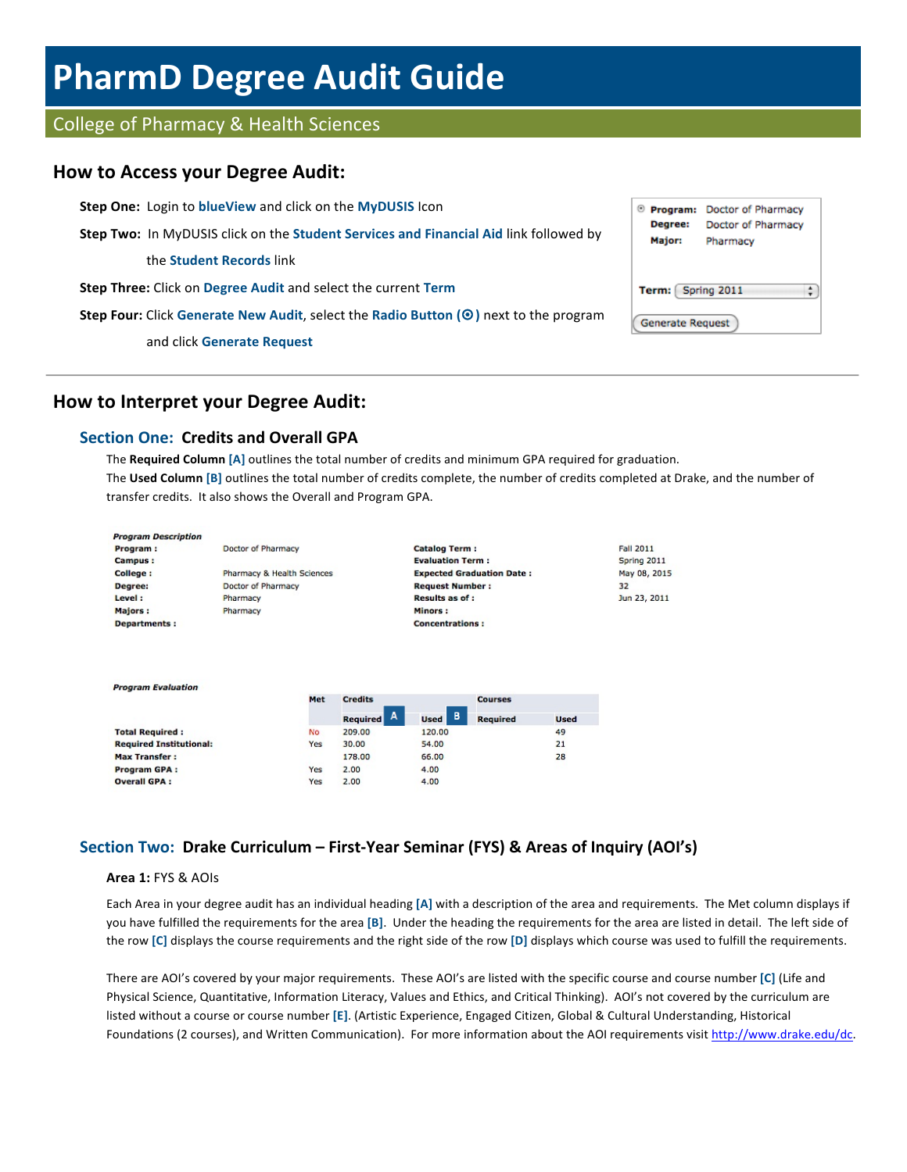# **PharmD Degree Audit Guide**

# College of Pharmacy & Health Sciences

## **How to Access your Degree Audit:**

**Step One:** Login to **blueView** and click on the **MyDUSIS** Icon <sup>®</sup> Program: Doctor of Pharmacy Degree: Doctor of Pharmacy **Step Two:** In MyDUSIS click on the **Student Services and Financial Aid** link followed by **Major:** Pharmacy the **Student Records** link **Step Three:** Click on Degree Audit and select the current Term Term: Spring 2011  $\ddot{\phantom{1}}$ **Step Four:** Click Generate New Audit, select the Radio Button ( $\odot$ ) next to the program **Generate Request** and click **Generate Request**

# **How to Interpret your Degree Audit:**

## **Section One: Credits and Overall GPA**

The **Required Column** [A] outlines the total number of credits and minimum GPA required for graduation. The Used Column [B] outlines the total number of credits complete, the number of credits completed at Drake, and the number of transfer credits. It also shows the Overall and Program GPA.

| <b>Program Description</b>     |                            |     |                      |                         |                                  |             |                  |
|--------------------------------|----------------------------|-----|----------------------|-------------------------|----------------------------------|-------------|------------------|
| Program :                      | Doctor of Pharmacy         |     |                      | <b>Catalog Term:</b>    |                                  |             | <b>Fall 2011</b> |
| <b>Campus:</b>                 |                            |     |                      | <b>Evaluation Term:</b> |                                  |             | Spring 2011      |
| College:                       | Pharmacy & Health Sciences |     |                      |                         | <b>Expected Graduation Date:</b> |             | May 08, 2015     |
| Degree:                        | Doctor of Pharmacy         |     |                      | <b>Request Number:</b>  |                                  |             | 32               |
| Level:                         | Pharmacy                   |     |                      | <b>Results as of :</b>  |                                  |             | Jun 23, 2011     |
| <b>Majors:</b>                 | Pharmacy                   |     |                      | Minors:                 |                                  |             |                  |
| <b>Departments:</b>            |                            |     |                      | <b>Concentrations:</b>  |                                  |             |                  |
| <b>Program Evaluation</b>      |                            |     |                      |                         |                                  |             |                  |
|                                |                            | Met | <b>Credits</b>       |                         | <b>Courses</b>                   |             |                  |
|                                |                            |     | A<br><b>Required</b> | в<br><b>Used</b>        | <b>Required</b>                  | <b>Used</b> |                  |
| <b>Total Required:</b>         |                            | No. | 209.00               | 120.00                  |                                  | 49          |                  |
| <b>Required Institutional:</b> |                            | Yes | 30.00                | 54.00                   |                                  | 21          |                  |
| <b>Max Transfer:</b>           |                            |     | 178.00               | 66.00                   |                                  | 28          |                  |

Yes

Yes

2.00

 $2.00$ 

# Section Two: Drake Curriculum – First-Year Seminar (FYS) & Areas of Inquiry (AOI's)

4.00

4.00

### **Area 1: FYS & AOIs**

Program GPA :

**Overall GPA:** 

Each Area in your degree audit has an individual heading [A] with a description of the area and requirements. The Met column displays if you have fulfilled the requirements for the area [B]. Under the heading the requirements for the area are listed in detail. The left side of the row [C] displays the course requirements and the right side of the row [D] displays which course was used to fulfill the requirements.

There are AOI's covered by your major requirements. These AOI's are listed with the specific course and course number [C] (Life and Physical Science, Quantitative, Information Literacy, Values and Ethics, and Critical Thinking). AOI's not covered by the curriculum are listed without a course or course number [E]. (Artistic Experience, Engaged Citizen, Global & Cultural Understanding, Historical Foundations (2 courses), and Written Communication). For more information about the AOI requirements visit http://www.drake.edu/dc.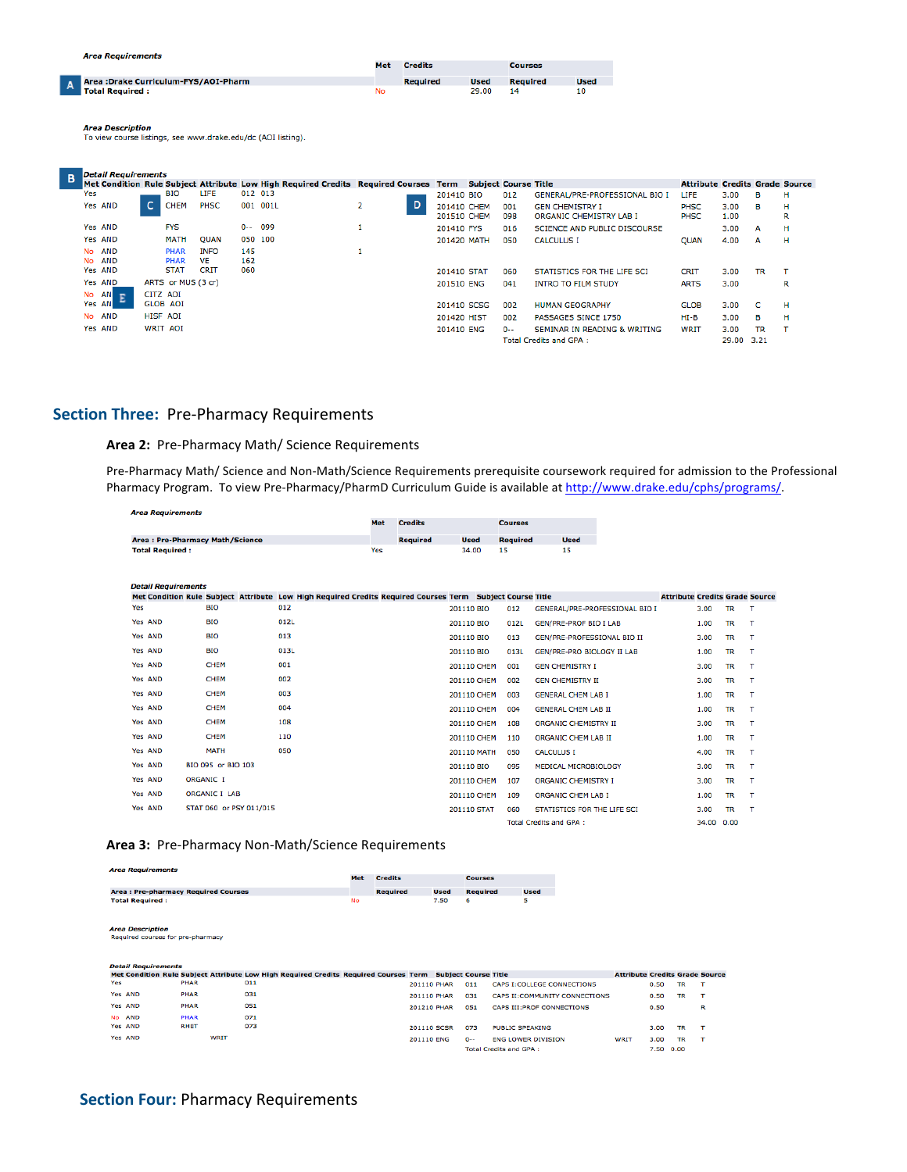|                                                                                                                                                                                                                                                                                            |           | <b>Area Requirements</b>              |                 |                    |             |         |          |     |                 |                                   |             |                 |                                                          |              |              |           |        |
|--------------------------------------------------------------------------------------------------------------------------------------------------------------------------------------------------------------------------------------------------------------------------------------------|-----------|---------------------------------------|-----------------|--------------------|-------------|---------|----------|-----|-----------------|-----------------------------------|-------------|-----------------|----------------------------------------------------------|--------------|--------------|-----------|--------|
|                                                                                                                                                                                                                                                                                            |           |                                       |                 |                    |             |         |          | Met | <b>Credits</b>  |                                   |             | <b>Courses</b>  |                                                          |              |              |           |        |
|                                                                                                                                                                                                                                                                                            |           | Area : Drake Curriculum-FYS/AOI-Pharm |                 |                    |             |         |          |     | <b>Required</b> |                                   | <b>Used</b> | <b>Required</b> | <b>Used</b>                                              |              |              |           |        |
|                                                                                                                                                                                                                                                                                            |           | <b>Total Required:</b>                |                 |                    |             |         |          | No  |                 |                                   | 29.00       | 14              | 10                                                       |              |              |           |        |
| <b>Area Description</b><br>To view course listings, see www.drake.edu/dc (AOI listing).<br><b>Detail Requirements</b><br>B<br>Met Condition Rule Subject Attribute Low High Required Credits Required Courses Term<br><b>Attribute Credits Grade Source</b><br><b>Subject Course Title</b> |           |                                       |                 |                    |             |         |          |     |                 |                                   |             |                 |                                                          |              |              |           |        |
|                                                                                                                                                                                                                                                                                            |           |                                       |                 |                    |             |         |          |     |                 |                                   |             |                 |                                                          |              |              |           |        |
|                                                                                                                                                                                                                                                                                            |           |                                       |                 |                    |             |         |          |     |                 |                                   |             |                 |                                                          |              |              |           |        |
|                                                                                                                                                                                                                                                                                            | Yes       |                                       |                 | <b>BIO</b>         | LIFE        |         | 012 013  |     |                 | 201410 BIO                        |             | 012             | GENERAL/PRE-PROFESSIONAL BIO I                           | LIFE         | 3.00         | в         | н      |
|                                                                                                                                                                                                                                                                                            |           | Yes AND                               | c.              | <b>CHEM</b>        | PHSC        |         | 001 001L | 2   | D               | 201410 CHEM<br><b>201510 CHEM</b> |             | 001<br>098      | <b>GEN CHEMISTRY I</b><br><b>ORGANIC CHEMISTRY LAB I</b> | PHSC<br>PHSC | 3.00<br>1.00 | в         | н<br>R |
|                                                                                                                                                                                                                                                                                            |           | Yes AND                               |                 | <b>FYS</b>         |             | $0 - -$ | 099      | 1   |                 | 201410 FYS                        |             | 016             | <b>SCIENCE AND PUBLIC DISCOURSE</b>                      |              | 3.00         | А         | н      |
|                                                                                                                                                                                                                                                                                            |           | Yes AND                               |                 | <b>MATH</b>        | <b>QUAN</b> |         | 050 100  |     |                 | 201420 MATH                       |             | 050             | <b>CALCULUS I</b>                                        | <b>OUAN</b>  | 4.00         | А         | н      |
|                                                                                                                                                                                                                                                                                            | No        | <b>AND</b>                            |                 | <b>PHAR</b>        | <b>INFO</b> | 145     |          | 1   |                 |                                   |             |                 |                                                          |              |              |           |        |
|                                                                                                                                                                                                                                                                                            | <b>No</b> | <b>AND</b>                            |                 | <b>PHAR</b>        | <b>VE</b>   | 162     |          |     |                 |                                   |             |                 |                                                          |              |              |           |        |
|                                                                                                                                                                                                                                                                                            |           | Yes AND                               |                 | <b>STAT</b>        | <b>CRIT</b> | 060     |          |     |                 | 201410 STAT                       |             | 060             | STATISTICS FOR THE LIFE SCI                              | <b>CRIT</b>  | 3.00         | <b>TR</b> | т      |
|                                                                                                                                                                                                                                                                                            |           | Yes AND                               |                 | ARTS or MUS (3 cr) |             |         |          |     |                 | 201510 ENG                        |             | 041             | <b>INTRO TO FILM STUDY</b>                               | <b>ARTS</b>  | 3.00         |           | R      |
|                                                                                                                                                                                                                                                                                            | No        | ANI<br><b>D</b>                       | CITZ AOI        |                    |             |         |          |     |                 |                                   |             |                 |                                                          |              |              |           |        |
|                                                                                                                                                                                                                                                                                            |           | ÷<br>Yes ANI                          | <b>GLOB AOI</b> |                    |             |         |          |     |                 | 201410 SCSG                       |             | 002             | <b>HUMAN GEOGRAPHY</b>                                   | <b>GLOB</b>  | 3.00         | c         | н      |
|                                                                                                                                                                                                                                                                                            | <b>No</b> | <b>AND</b>                            | <b>HISF AOI</b> |                    |             |         |          |     |                 | 201420 HIST                       |             | 002             | PASSAGES SINCE 1750                                      | $HI-B$       | 3.00         | в         | н      |
|                                                                                                                                                                                                                                                                                            |           | Yes AND                               | WRIT AOI        |                    |             |         |          |     |                 | 201410 ENG                        |             | $0 - -$         | SEMINAR IN READING & WRITING                             | WRIT         | 3.00         | <b>TR</b> | т      |
|                                                                                                                                                                                                                                                                                            |           |                                       |                 |                    |             |         |          |     |                 |                                   |             |                 | <b>Total Credits and GPA:</b>                            |              | 29.00        | 3.21      |        |

## **Section Three: Pre-Pharmacy Requirements**

## Area 2: Pre-Pharmacy Math/ Science Requirements

Pre-Pharmacy Math/ Science and Non-Math/Science Requirements prerequisite coursework required for admission to the Professional Pharmacy Program. To view Pre-Pharmacy/PharmD Curriculum Guide is available at http://www.drake.edu/cphs/programs/.

| <b>Area Requirements</b>         |     |                |             |                 |             |
|----------------------------------|-----|----------------|-------------|-----------------|-------------|
|                                  | Met | <b>Credits</b> |             | <b>Courses</b>  |             |
| Area : Pre-Pharmacy Math/Science |     | Required       | <b>Used</b> | <b>Required</b> | <b>Used</b> |
| <b>Total Required:</b>           | Yes |                | 34.00       | 15              |             |

| <b>Detail Requirements</b> |                         |      |                                                                                                           |                    |      |                                    |                                       |            |           |              |
|----------------------------|-------------------------|------|-----------------------------------------------------------------------------------------------------------|--------------------|------|------------------------------------|---------------------------------------|------------|-----------|--------------|
|                            |                         |      | Met Condition Rule Subject Attribute Low High Required Credits Required Courses Term Subject Course Title |                    |      |                                    | <b>Attribute Credits Grade Source</b> |            |           |              |
| Yes                        | <b>BIO</b>              | 012  |                                                                                                           | 201110 BIO         | 012  | GENERAL/PRE-PROFESSIONAL BIO I     |                                       | 3.00       | <b>TR</b> | . т          |
| <b>Yes AND</b>             | <b>BIO</b>              | 012L |                                                                                                           | 201110 BIO         | 012L | GEN/PRE-PROF BIO I LAB             |                                       | 1.00       | <b>TR</b> | ா            |
| <b>Yes AND</b>             | <b>BIO</b>              | 013  |                                                                                                           | 201110 BIO         | 013  | <b>GEN/PRE-PROFESSIONAL BIO II</b> |                                       | 3.00       | <b>TR</b> | -т           |
| Yes AND                    | <b>BIO</b>              | 013L |                                                                                                           | 201110 BIO         | 013L | <b>GEN/PRE-PRO BIOLOGY II LAB</b>  |                                       | 1.00       | <b>TR</b> | $\mathbf{T}$ |
| Yes AND                    | <b>CHEM</b>             | 001  |                                                                                                           | <b>201110 CHEM</b> | 001  | <b>GEN CHEMISTRY I</b>             |                                       | 3.00       | <b>TR</b> | $\mathbf{T}$ |
| <b>Yes AND</b>             | <b>CHEM</b>             | 002  |                                                                                                           | <b>201110 CHEM</b> | 002  | <b>GEN CHEMISTRY II</b>            |                                       | 3.00       | <b>TR</b> | $\mathbf{T}$ |
| <b>Yes AND</b>             | <b>CHEM</b>             | 003  |                                                                                                           | <b>201110 CHEM</b> | 003  | <b>GENERAL CHEM LAB I</b>          |                                       | 1.00       | <b>TR</b> | T            |
| <b>Yes AND</b>             | <b>CHEM</b>             | 004  |                                                                                                           | <b>201110 CHEM</b> | 004  | <b>GENERAL CHEM LAB II</b>         |                                       | 1.00       | <b>TR</b> | T            |
| Yes AND                    | <b>CHEM</b>             | 108  |                                                                                                           | <b>201110 CHEM</b> | 108  | <b>ORGANIC CHEMISTRY II</b>        |                                       | 3.00       | <b>TR</b> | T            |
| Yes AND                    | <b>CHEM</b>             | 110  |                                                                                                           | <b>201110 CHEM</b> | 110  | ORGANIC CHEM LAB II                |                                       | 1.00       | <b>TR</b> | $\mathbf{T}$ |
| Yes AND                    | <b>MATH</b>             | 050  |                                                                                                           | 201110 MATH        | 050  | <b>CALCULUS I</b>                  |                                       | 4.00       | <b>TR</b> | $\mathbf{T}$ |
| <b>Yes AND</b>             | BIO 095 or BIO 103      |      |                                                                                                           | 201110 BIO         | 095  | MEDICAL MICROBIOLOGY               |                                       | 3.00       | <b>TR</b> | $\mathbf{T}$ |
| Yes AND                    | ORGANIC I               |      |                                                                                                           | <b>201110 CHEM</b> | 107  | <b>ORGANIC CHEMISTRY I</b>         |                                       | 3.00       | TR        | т            |
| Yes AND                    | ORGANIC I LAB           |      |                                                                                                           | <b>201110 CHEM</b> | 109  | <b>ORGANIC CHEM LAB I</b>          |                                       | 1.00       | <b>TR</b> | $\mathbf{T}$ |
| Yes AND                    | STAT 060 or PSY 011/015 |      |                                                                                                           | <b>201110 STAT</b> | 060  | STATISTICS FOR THE LIFE SCI        |                                       | 3.00       | <b>TR</b> | $\mathbf{T}$ |
|                            |                         |      |                                                                                                           |                    |      | <b>Total Credits and GPA:</b>      |                                       | 34.00 0.00 |           |              |

## Area 3: Pre-Pharmacy Non-Math/Science Requirements

| <b>Area Requirements</b>                   |             |                                                                                                           |           |                       |                    |             |                 |                                    |                                       |      |           |                |
|--------------------------------------------|-------------|-----------------------------------------------------------------------------------------------------------|-----------|-----------------------|--------------------|-------------|-----------------|------------------------------------|---------------------------------------|------|-----------|----------------|
|                                            |             |                                                                                                           |           | <b>Credits</b><br>Met |                    |             | <b>Courses</b>  |                                    |                                       |      |           |                |
| <b>Area: Pre-pharmacy Required Courses</b> |             |                                                                                                           |           | <b>Required</b>       |                    | <b>Used</b> | <b>Required</b> | <b>Used</b>                        |                                       |      |           |                |
| <b>Total Required:</b>                     |             |                                                                                                           | <b>No</b> |                       |                    | 7.50        | 6               | 5                                  |                                       |      |           |                |
|                                            |             |                                                                                                           |           |                       |                    |             |                 |                                    |                                       |      |           |                |
|                                            |             |                                                                                                           |           |                       |                    |             |                 |                                    |                                       |      |           |                |
| <b>Area Description</b>                    |             |                                                                                                           |           |                       |                    |             |                 |                                    |                                       |      |           |                |
| Required courses for pre-pharmacy          |             |                                                                                                           |           |                       |                    |             |                 |                                    |                                       |      |           |                |
|                                            |             |                                                                                                           |           |                       |                    |             |                 |                                    |                                       |      |           |                |
| <b>Detail Requirements</b>                 |             |                                                                                                           |           |                       |                    |             |                 |                                    |                                       |      |           |                |
|                                            |             | Met Condition Rule Subject Attribute Low High Required Credits Required Courses Term Subject Course Title |           |                       |                    |             |                 |                                    | <b>Attribute Credits Grade Source</b> |      |           |                |
| Yes                                        | PHAR        | 011                                                                                                       |           |                       | <b>201110 PHAR</b> |             | 011             | <b>CAPS I: COLLEGE CONNECTIONS</b> |                                       | 0.50 | <b>TR</b> | п.             |
| Yes AND                                    | PHAR        | 031                                                                                                       |           |                       | <b>201110 PHAR</b> |             | 031             | CAPS II: COMMUNITY CONNECTIONS     |                                       | 0.50 | <b>TR</b> | T              |
| Yes AND                                    | <b>PHAR</b> | 051                                                                                                       |           |                       |                    |             |                 |                                    |                                       |      |           |                |
|                                            |             |                                                                                                           |           |                       | <b>201210 PHAR</b> |             | 051             | CAPS III: PROF CONNECTIONS         |                                       | 0.50 |           | R              |
| No AND                                     | PHAR        | 071                                                                                                       |           |                       |                    |             |                 |                                    |                                       |      |           |                |
| Yes AND                                    | <b>RHET</b> | 073                                                                                                       |           |                       | <b>201110 SCSR</b> |             | 073             | <b>PUBLIC SPEAKING</b>             |                                       | 3.00 | <b>TR</b> | . т            |
| Yes AND                                    | <b>WRIT</b> |                                                                                                           |           |                       | <b>201110 ENG</b>  |             | $0-$            | <b>ENG LOWER DIVISION</b>          | <b>WRIT</b>                           | 3.00 | <b>TR</b> | $\mathbf \tau$ |
|                                            |             |                                                                                                           |           |                       |                    |             |                 | <b>Total Credits and GPA:</b>      |                                       | 7.50 | 0.00      |                |

## **Section Four: Pharmacy Requirements**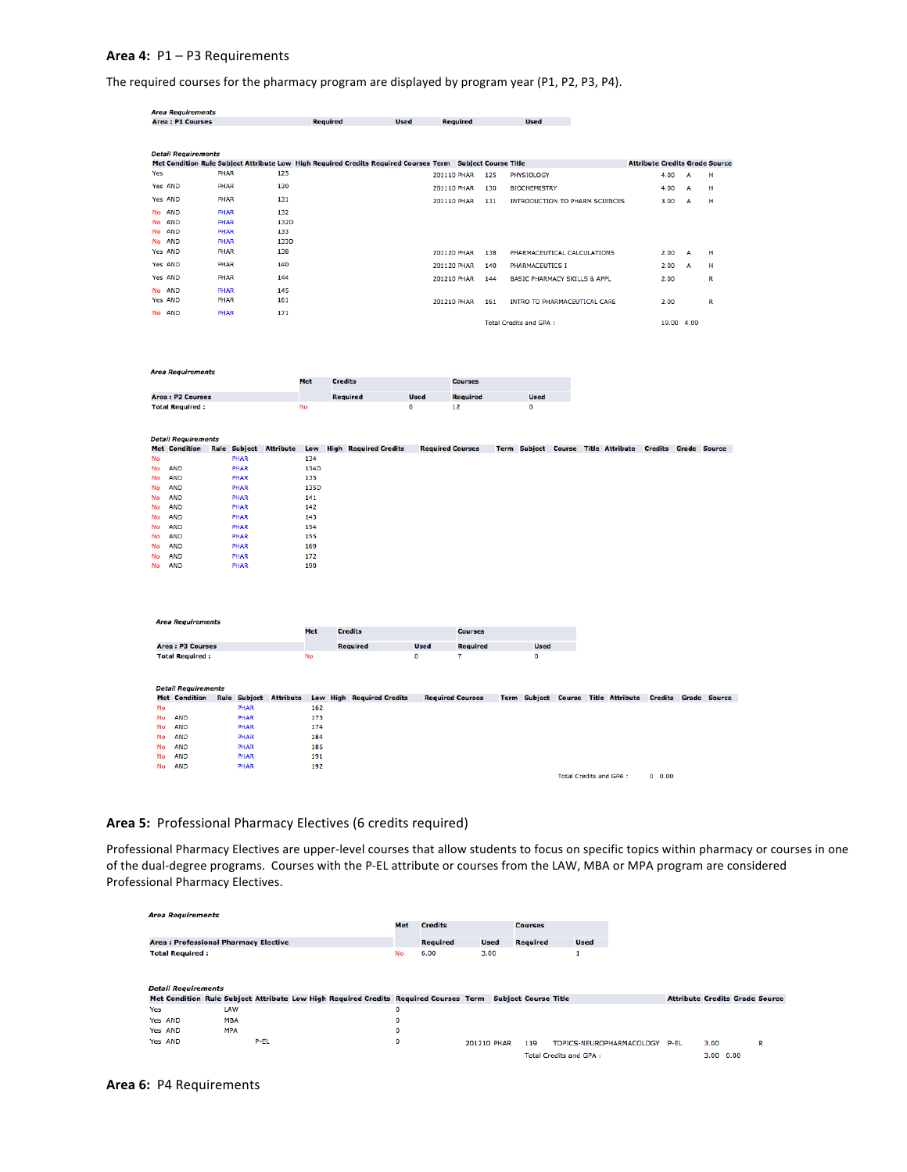## **Area 4:**  P1 – P3 Requirements

The required courses for the pharmacy program are displayed by program year (P1, P2, P3, P4).

|                | <b>Area Requirements</b>   |             |                               |      |            |                                                                                                           |                              |             |                         |                 |      |                                         |                        |                                       |                             |      |   |
|----------------|----------------------------|-------------|-------------------------------|------|------------|-----------------------------------------------------------------------------------------------------------|------------------------------|-------------|-------------------------|-----------------|------|-----------------------------------------|------------------------|---------------------------------------|-----------------------------|------|---|
|                | <b>Area: P1 Courses</b>    |             |                               |      |            | <b>Required</b>                                                                                           | <b>Used</b>                  |             | <b>Required</b>         |                 |      | <b>Used</b>                             |                        |                                       |                             |      |   |
|                |                            |             |                               |      |            |                                                                                                           |                              |             |                         |                 |      |                                         |                        |                                       |                             |      |   |
|                |                            |             |                               |      |            |                                                                                                           |                              |             |                         |                 |      |                                         |                        |                                       |                             |      |   |
|                | <b>Detail Requirements</b> |             |                               |      |            |                                                                                                           |                              |             |                         |                 |      |                                         |                        |                                       |                             |      |   |
|                |                            |             |                               |      |            | Met Condition Rule Subject Attribute Low High Required Credits Required Courses Term Subject Course Title |                              |             |                         |                 |      |                                         |                        | <b>Attribute Credits Grade Source</b> |                             |      |   |
| Yes            |                            | PHAR        |                               | 125  |            |                                                                                                           |                              |             | 201110 PHAR             |                 | 125  | PHYSIOLOGY                              |                        |                                       | 4.00                        | А    | н |
| <b>Yes AND</b> |                            | PHAR        |                               | 130  |            |                                                                                                           |                              |             | <b>201110 PHAR</b>      |                 | 130  | <b>BIOCHEMISTRY</b>                     |                        |                                       | 4.00                        | A    | н |
| Yes AND        |                            | PHAR        |                               | 131  |            |                                                                                                           |                              |             | 201110 PHAR             |                 | 131  | <b>INTRODUCTION TO PHARM SCIENCES</b>   |                        |                                       | 3.00                        | A    | н |
| No.            | <b>AND</b>                 | PHAR        |                               | 132  |            |                                                                                                           |                              |             |                         |                 |      |                                         |                        |                                       |                             |      |   |
| No.            | <b>AND</b>                 | PHAR        |                               | 132D |            |                                                                                                           |                              |             |                         |                 |      |                                         |                        |                                       |                             |      |   |
| No AND         |                            | PHAR        |                               | 133  |            |                                                                                                           |                              |             |                         |                 |      |                                         |                        |                                       |                             |      |   |
| No AND         |                            | <b>PHAR</b> |                               | 133D |            |                                                                                                           |                              |             |                         |                 |      |                                         |                        |                                       |                             |      |   |
| Yes AND        |                            | <b>PHAR</b> |                               | 138  |            |                                                                                                           |                              |             | 201120 PHAR             |                 | 138  | PHARMACEUTICAL CALCULATIONS             |                        |                                       | 2.00                        | A    | н |
| Yes AND        |                            | PHAR        |                               | 140  |            |                                                                                                           |                              |             | <b>201120 PHAR</b>      |                 | 140  | PHARMACEUTICS I                         |                        |                                       | 2.00                        | A    | н |
| <b>Yes AND</b> |                            | PHAR        |                               | 144  |            |                                                                                                           |                              |             | <b>201210 PHAR</b>      |                 | 144  | <b>BASIC PHARMACY SKILLS &amp; APPL</b> |                        |                                       | 2.00                        |      | R |
| No AND         |                            | PHAR        |                               | 145  |            |                                                                                                           |                              |             |                         |                 |      |                                         |                        |                                       |                             |      |   |
| Yes AND        |                            | PHAR        |                               | 161  |            |                                                                                                           |                              |             | 201210 PHAR             |                 | 161  | INTRO TO PHARMACEUTICAL CARE            |                        |                                       | 2.00                        |      | R |
| No AND         |                            | <b>PHAR</b> |                               | 171  |            |                                                                                                           |                              |             |                         |                 |      |                                         |                        |                                       |                             |      |   |
|                |                            |             |                               |      |            |                                                                                                           |                              |             |                         |                 |      | <b>Total Credits and GPA:</b>           |                        |                                       | 19.00                       | 4.00 |   |
|                |                            |             |                               |      |            |                                                                                                           |                              |             |                         |                 |      |                                         |                        |                                       |                             |      |   |
|                |                            |             |                               |      |            |                                                                                                           |                              |             |                         |                 |      |                                         |                        |                                       |                             |      |   |
|                |                            |             |                               |      |            |                                                                                                           |                              |             |                         |                 |      |                                         |                        |                                       |                             |      |   |
|                | <b>Area Requirements</b>   |             |                               |      |            |                                                                                                           |                              |             |                         |                 |      |                                         |                        |                                       |                             |      |   |
|                |                            |             |                               |      | <b>Met</b> | <b>Credits</b>                                                                                            |                              |             |                         | <b>Courses</b>  |      |                                         |                        |                                       |                             |      |   |
|                | <b>Area: P2 Courses</b>    |             |                               |      |            | <b>Required</b>                                                                                           |                              | <b>Used</b> |                         | <b>Required</b> |      | <b>Used</b>                             |                        |                                       |                             |      |   |
|                | <b>Total Required:</b>     |             |                               |      | <b>No</b>  |                                                                                                           |                              | O           | 12                      |                 |      | $\circ$                                 |                        |                                       |                             |      |   |
|                |                            |             |                               |      |            |                                                                                                           |                              |             |                         |                 |      |                                         |                        |                                       |                             |      |   |
|                | <b>Detail Requirements</b> |             |                               |      |            |                                                                                                           |                              |             |                         |                 |      |                                         |                        |                                       |                             |      |   |
|                | <b>Met Condition</b>       |             | <b>Rule Subject Attribute</b> |      | Low        |                                                                                                           | <b>High Required Credits</b> |             | <b>Required Courses</b> |                 | Term | <b>Subject Course</b>                   | <b>Title Attribute</b> |                                       | <b>Credits Grade Source</b> |      |   |
| Me             |                            |             | <b>DIAND</b>                  |      | 124        |                                                                                                           |                              |             |                         |                 |      |                                         |                        |                                       |                             |      |   |

|    |            | <b>PERMIT</b> | 1.34 |
|----|------------|---------------|------|
| No | <b>AND</b> | PHAR          | 134D |
| No | <b>AND</b> | PHAR          | 135  |
| No | <b>AND</b> | PHAR          | 135D |
| No | <b>AND</b> | PHAR          | 141  |
| No | <b>AND</b> | <b>PHAR</b>   | 142  |
| No | <b>AND</b> | PHAR          | 143  |
| No | <b>AND</b> | PHAR          | 154  |
| No | <b>AND</b> | <b>PHAR</b>   | 155  |
| No | <b>AND</b> | PHAR          | 169  |
| No | <b>AND</b> | PHAR          | 172  |
| No | AND        | PHAR          | 190  |

|           | <b>Area Requirements</b>   |  |                     |                  |            |                                  |             |                         |             |                               |                                     |                |                     |
|-----------|----------------------------|--|---------------------|------------------|------------|----------------------------------|-------------|-------------------------|-------------|-------------------------------|-------------------------------------|----------------|---------------------|
|           |                            |  |                     |                  | <b>Met</b> | <b>Credits</b>                   |             | <b>Courses</b>          |             |                               |                                     |                |                     |
|           | <b>Area: P3 Courses</b>    |  |                     |                  |            | <b>Required</b>                  | <b>Used</b> | <b>Required</b>         | <b>Used</b> |                               |                                     |                |                     |
|           | <b>Total Required:</b>     |  |                     |                  | <b>No</b>  |                                  | 0           | 7                       | 0           |                               |                                     |                |                     |
|           |                            |  |                     |                  |            |                                  |             |                         |             |                               |                                     |                |                     |
|           |                            |  |                     |                  |            |                                  |             |                         |             |                               |                                     |                |                     |
|           | <b>Detail Requirements</b> |  |                     |                  |            |                                  |             |                         |             |                               |                                     |                |                     |
|           | <b>Met Condition</b>       |  | <b>Rule Subject</b> | <b>Attribute</b> |            | <b>Low High Required Credits</b> |             | <b>Required Courses</b> |             |                               | Term Subject Course Title Attribute | <b>Credits</b> | <b>Grade Source</b> |
| <b>No</b> |                            |  | PHAR                |                  | 162        |                                  |             |                         |             |                               |                                     |                |                     |
| No        | <b>AND</b>                 |  | PHAR                |                  | 173        |                                  |             |                         |             |                               |                                     |                |                     |
| No        | <b>AND</b>                 |  | PHAR                |                  | 174        |                                  |             |                         |             |                               |                                     |                |                     |
| No        | <b>AND</b>                 |  | PHAR                |                  | 184        |                                  |             |                         |             |                               |                                     |                |                     |
| No        | <b>AND</b>                 |  | PHAR                |                  | 185        |                                  |             |                         |             |                               |                                     |                |                     |
| No        | <b>AND</b>                 |  | PHAR                |                  | 191        |                                  |             |                         |             |                               |                                     |                |                     |
| No        | <b>AND</b>                 |  | PHAR                |                  | 192        |                                  |             |                         |             |                               |                                     |                |                     |
|           |                            |  |                     |                  |            |                                  |             |                         |             | <b>Total Credits and GPA:</b> |                                     | $0\quad 0.00$  |                     |

## Area 5: Professional Pharmacy Electives (6 credits required)

Professional Pharmacy Electives are upper-level courses that allow students to focus on specific topics within pharmacy or courses in one of the dual-degree programs. Courses with the P-EL attribute or courses from the LAW, MBA or MPA program are considered Professional Pharmacy Electives.

| <b>Area Requirements</b>                    |            |      |                                                                                      |             |                 |             |                             |                               |                                       |               |   |
|---------------------------------------------|------------|------|--------------------------------------------------------------------------------------|-------------|-----------------|-------------|-----------------------------|-------------------------------|---------------------------------------|---------------|---|
|                                             |            |      |                                                                                      | Met         | <b>Credits</b>  |             | <b>Courses</b>              |                               |                                       |               |   |
| <b>Area: Professional Pharmacy Elective</b> |            |      |                                                                                      |             | <b>Required</b> | <b>Used</b> | <b>Required</b>             | <b>Used</b>                   |                                       |               |   |
| <b>Total Required:</b>                      |            |      |                                                                                      | No          | 6.00            | 3.00        |                             | ш                             |                                       |               |   |
|                                             |            |      |                                                                                      |             |                 |             |                             |                               |                                       |               |   |
|                                             |            |      |                                                                                      |             |                 |             |                             |                               |                                       |               |   |
| <b>Detail Requirements</b>                  |            |      |                                                                                      |             |                 |             |                             |                               |                                       |               |   |
|                                             |            |      | Met Condition Rule Subject Attribute Low High Required Credits Required Courses Term |             |                 |             | <b>Subject Course Title</b> |                               | <b>Attribute Credits Grade Source</b> |               |   |
| Yes                                         | LAW        |      |                                                                                      | 0           |                 |             |                             |                               |                                       |               |   |
| Yes AND                                     | <b>MBA</b> |      |                                                                                      | 0           |                 |             |                             |                               |                                       |               |   |
| Yes AND                                     | <b>MPA</b> |      |                                                                                      | $\mathbf 0$ |                 |             |                             |                               |                                       |               |   |
| Yes AND                                     |            | P-EL |                                                                                      | 0           |                 | 201210 PHAR | 119                         | TOPICS-NEUROPHARMACOLOGY      | P-EL                                  | 3.00          | R |
|                                             |            |      |                                                                                      |             |                 |             |                             | <b>Total Credits and GPA:</b> |                                       | $3.00$ $0.00$ |   |

#### **Area 6:**  P4 Requirements